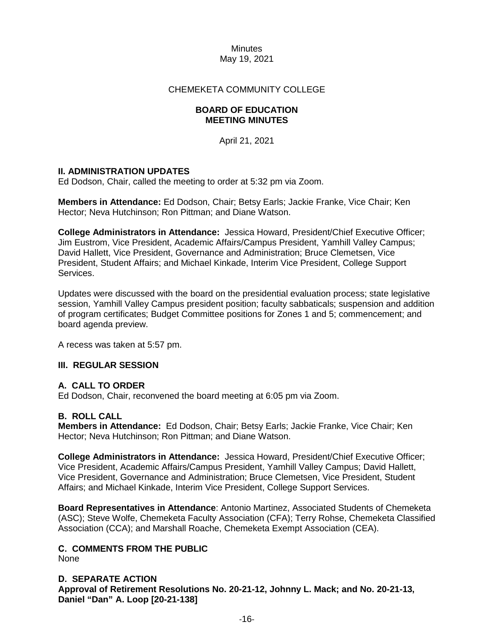### CHEMEKETA COMMUNITY COLLEGE

### **BOARD OF EDUCATION MEETING MINUTES**

April 21, 2021

### **II. ADMINISTRATION UPDATES**

Ed Dodson, Chair, called the meeting to order at 5:32 pm via Zoom.

**Members in Attendance:** Ed Dodson, Chair; Betsy Earls; Jackie Franke, Vice Chair; Ken Hector; Neva Hutchinson; Ron Pittman; and Diane Watson.

**College Administrators in Attendance:** Jessica Howard, President/Chief Executive Officer; Jim Eustrom, Vice President, Academic Affairs/Campus President, Yamhill Valley Campus; David Hallett, Vice President, Governance and Administration; Bruce Clemetsen, Vice President, Student Affairs; and Michael Kinkade, Interim Vice President, College Support Services.

Updates were discussed with the board on the presidential evaluation process; state legislative session, Yamhill Valley Campus president position; faculty sabbaticals; suspension and addition of program certificates; Budget Committee positions for Zones 1 and 5; commencement; and board agenda preview.

A recess was taken at 5:57 pm.

#### **III. REGULAR SESSION**

#### **A. CALL TO ORDER**

Ed Dodson, Chair, reconvened the board meeting at 6:05 pm via Zoom.

#### **B. ROLL CALL**

**Members in Attendance:** Ed Dodson, Chair; Betsy Earls; Jackie Franke, Vice Chair; Ken Hector; Neva Hutchinson; Ron Pittman; and Diane Watson.

**College Administrators in Attendance:** Jessica Howard, President/Chief Executive Officer; Vice President, Academic Affairs/Campus President, Yamhill Valley Campus; David Hallett, Vice President, Governance and Administration; Bruce Clemetsen, Vice President, Student Affairs; and Michael Kinkade, Interim Vice President, College Support Services.

**Board Representatives in Attendance**: Antonio Martinez, Associated Students of Chemeketa (ASC); Steve Wolfe, Chemeketa Faculty Association (CFA); Terry Rohse, Chemeketa Classified Association (CCA); and Marshall Roache, Chemeketa Exempt Association (CEA).

## **C. COMMENTS FROM THE PUBLIC**

None

**D. SEPARATE ACTION Approval of Retirement Resolutions No. 20-21-12, Johnny L. Mack; and No. 20-21-13, Daniel "Dan" A. Loop [20-21-138]**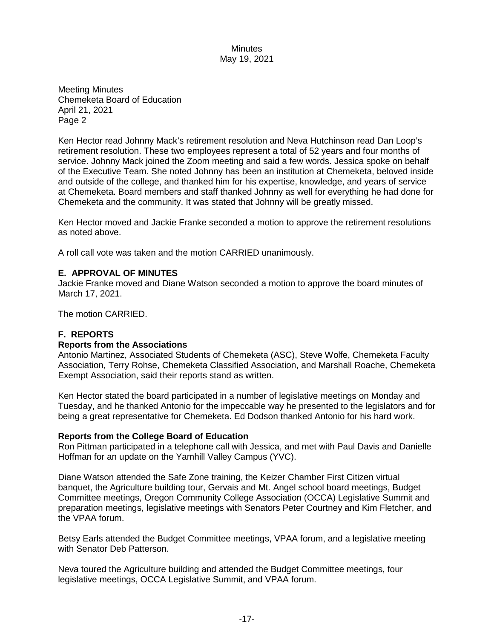Meeting Minutes Chemeketa Board of Education April 21, 2021 Page 2

Ken Hector read Johnny Mack's retirement resolution and Neva Hutchinson read Dan Loop's retirement resolution. These two employees represent a total of 52 years and four months of service. Johnny Mack joined the Zoom meeting and said a few words. Jessica spoke on behalf of the Executive Team. She noted Johnny has been an institution at Chemeketa, beloved inside and outside of the college, and thanked him for his expertise, knowledge, and years of service at Chemeketa. Board members and staff thanked Johnny as well for everything he had done for Chemeketa and the community. It was stated that Johnny will be greatly missed.

Ken Hector moved and Jackie Franke seconded a motion to approve the retirement resolutions as noted above.

A roll call vote was taken and the motion CARRIED unanimously.

### **E. APPROVAL OF MINUTES**

Jackie Franke moved and Diane Watson seconded a motion to approve the board minutes of March 17, 2021.

The motion CARRIED.

# **F. REPORTS**

#### **Reports from the Associations**

Antonio Martinez, Associated Students of Chemeketa (ASC), Steve Wolfe, Chemeketa Faculty Association, Terry Rohse, Chemeketa Classified Association, and Marshall Roache, Chemeketa Exempt Association, said their reports stand as written.

Ken Hector stated the board participated in a number of legislative meetings on Monday and Tuesday, and he thanked Antonio for the impeccable way he presented to the legislators and for being a great representative for Chemeketa. Ed Dodson thanked Antonio for his hard work.

#### **Reports from the College Board of Education**

Ron Pittman participated in a telephone call with Jessica, and met with Paul Davis and Danielle Hoffman for an update on the Yamhill Valley Campus (YVC).

Diane Watson attended the Safe Zone training, the Keizer Chamber First Citizen virtual banquet, the Agriculture building tour, Gervais and Mt. Angel school board meetings, Budget Committee meetings, Oregon Community College Association (OCCA) Legislative Summit and preparation meetings, legislative meetings with Senators Peter Courtney and Kim Fletcher, and the VPAA forum.

Betsy Earls attended the Budget Committee meetings, VPAA forum, and a legislative meeting with Senator Deb Patterson.

Neva toured the Agriculture building and attended the Budget Committee meetings, four legislative meetings, OCCA Legislative Summit, and VPAA forum.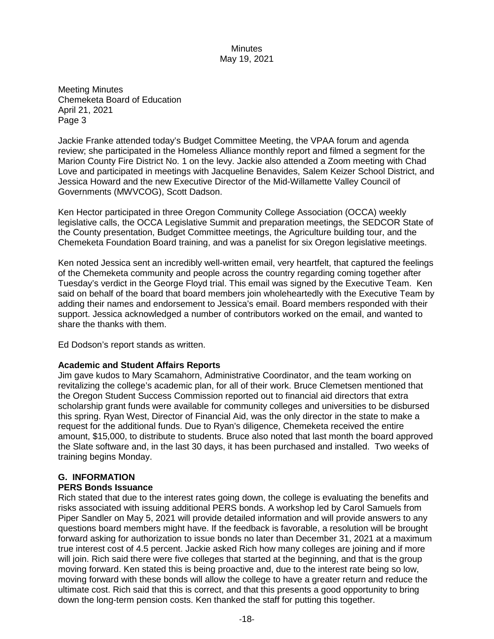Meeting Minutes Chemeketa Board of Education April 21, 2021 Page 3

Jackie Franke attended today's Budget Committee Meeting, the VPAA forum and agenda review; she participated in the Homeless Alliance monthly report and filmed a segment for the Marion County Fire District No. 1 on the levy. Jackie also attended a Zoom meeting with Chad Love and participated in meetings with Jacqueline Benavides, Salem Keizer School District, and Jessica Howard and the new Executive Director of the Mid-Willamette Valley Council of Governments (MWVCOG), Scott Dadson.

Ken Hector participated in three Oregon Community College Association (OCCA) weekly legislative calls, the OCCA Legislative Summit and preparation meetings, the SEDCOR State of the County presentation, Budget Committee meetings, the Agriculture building tour, and the Chemeketa Foundation Board training, and was a panelist for six Oregon legislative meetings.

Ken noted Jessica sent an incredibly well-written email, very heartfelt, that captured the feelings of the Chemeketa community and people across the country regarding coming together after Tuesday's verdict in the George Floyd trial. This email was signed by the Executive Team. Ken said on behalf of the board that board members join wholeheartedly with the Executive Team by adding their names and endorsement to Jessica's email. Board members responded with their support. Jessica acknowledged a number of contributors worked on the email, and wanted to share the thanks with them.

Ed Dodson's report stands as written.

#### **Academic and Student Affairs Reports**

Jim gave kudos to Mary Scamahorn, Administrative Coordinator, and the team working on revitalizing the college's academic plan, for all of their work. Bruce Clemetsen mentioned that the Oregon Student Success Commission reported out to financial aid directors that extra scholarship grant funds were available for community colleges and universities to be disbursed this spring. Ryan West, Director of Financial Aid, was the only director in the state to make a request for the additional funds. Due to Ryan's diligence, Chemeketa received the entire amount, \$15,000, to distribute to students. Bruce also noted that last month the board approved the Slate software and, in the last 30 days, it has been purchased and installed. Two weeks of training begins Monday.

## **G. INFORMATION**

### **PERS Bonds Issuance**

Rich stated that due to the interest rates going down, the college is evaluating the benefits and risks associated with issuing additional PERS bonds. A workshop led by Carol Samuels from Piper Sandler on May 5, 2021 will provide detailed information and will provide answers to any questions board members might have. If the feedback is favorable, a resolution will be brought forward asking for authorization to issue bonds no later than December 31, 2021 at a maximum true interest cost of 4.5 percent. Jackie asked Rich how many colleges are joining and if more will join. Rich said there were five colleges that started at the beginning, and that is the group moving forward. Ken stated this is being proactive and, due to the interest rate being so low, moving forward with these bonds will allow the college to have a greater return and reduce the ultimate cost. Rich said that this is correct, and that this presents a good opportunity to bring down the long-term pension costs. Ken thanked the staff for putting this together.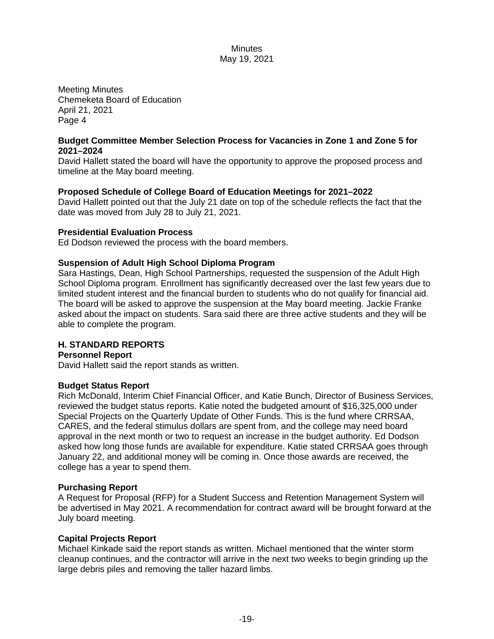Meeting Minutes Chemeketa Board of Education April 21, 2021 Page 4

### **Budget Committee Member Selection Process for Vacancies in Zone 1 and Zone 5 for 2021–2024**

David Hallett stated the board will have the opportunity to approve the proposed process and timeline at the May board meeting.

## **Proposed Schedule of College Board of Education Meetings for 2021–2022**

David Hallett pointed out that the July 21 date on top of the schedule reflects the fact that the date was moved from July 28 to July 21, 2021.

## **Presidential Evaluation Process**

Ed Dodson reviewed the process with the board members.

## **Suspension of Adult High School Diploma Program**

Sara Hastings, Dean, High School Partnerships, requested the suspension of the Adult High School Diploma program. Enrollment has significantly decreased over the last few years due to limited student interest and the financial burden to students who do not qualify for financial aid. The board will be asked to approve the suspension at the May board meeting. Jackie Franke asked about the impact on students. Sara said there are three active students and they will be able to complete the program.

## **H. STANDARD REPORTS**

### **Personnel Report**

David Hallett said the report stands as written.

#### **Budget Status Report**

Rich McDonald, Interim Chief Financial Officer, and Katie Bunch, Director of Business Services, reviewed the budget status reports. Katie noted the budgeted amount of \$16,325,000 under Special Projects on the Quarterly Update of Other Funds. This is the fund where CRRSAA, CARES, and the federal stimulus dollars are spent from, and the college may need board approval in the next month or two to request an increase in the budget authority. Ed Dodson asked how long those funds are available for expenditure. Katie stated CRRSAA goes through January 22, and additional money will be coming in. Once those awards are received, the college has a year to spend them.

#### **Purchasing Report**

A Request for Proposal (RFP) for a Student Success and Retention Management System will be advertised in May 2021. A recommendation for contract award will be brought forward at the July board meeting.

## **Capital Projects Report**

Michael Kinkade said the report stands as written. Michael mentioned that the winter storm cleanup continues, and the contractor will arrive in the next two weeks to begin grinding up the large debris piles and removing the taller hazard limbs.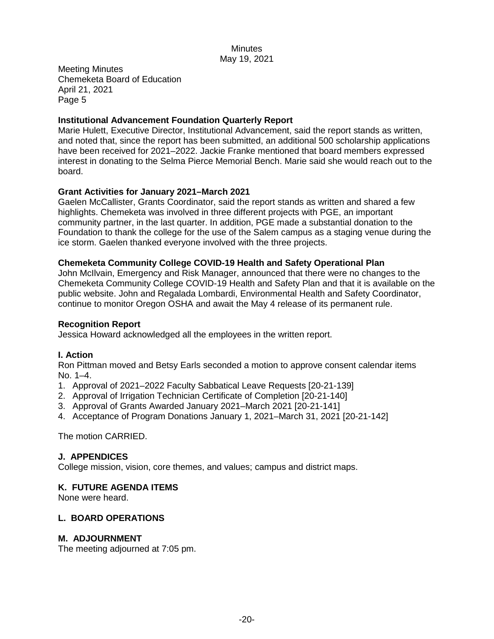Meeting Minutes Chemeketa Board of Education April 21, 2021 Page 5

### **Institutional Advancement Foundation Quarterly Report**

Marie Hulett, Executive Director, Institutional Advancement, said the report stands as written, and noted that, since the report has been submitted, an additional 500 scholarship applications have been received for 2021–2022. Jackie Franke mentioned that board members expressed interest in donating to the Selma Pierce Memorial Bench. Marie said she would reach out to the board.

## **Grant Activities for January 2021–March 2021**

Gaelen McCallister, Grants Coordinator, said the report stands as written and shared a few highlights. Chemeketa was involved in three different projects with PGE, an important community partner, in the last quarter. In addition, PGE made a substantial donation to the Foundation to thank the college for the use of the Salem campus as a staging venue during the ice storm. Gaelen thanked everyone involved with the three projects.

### **Chemeketa Community College COVID-19 Health and Safety Operational Plan**

John McIlvain, Emergency and Risk Manager, announced that there were no changes to the Chemeketa Community College COVID-19 Health and Safety Plan and that it is available on the public website. John and Regalada Lombardi, Environmental Health and Safety Coordinator, continue to monitor Oregon OSHA and await the May 4 release of its permanent rule.

### **Recognition Report**

Jessica Howard acknowledged all the employees in the written report.

## **I. Action**

Ron Pittman moved and Betsy Earls seconded a motion to approve consent calendar items No. 1–4.

- 1. Approval of 2021–2022 Faculty Sabbatical Leave Requests [20-21-139]
- 2. Approval of Irrigation Technician Certificate of Completion [20-21-140]
- 3. Approval of Grants Awarded January 2021–March 2021 [20-21-141]
- 4. Acceptance of Program Donations January 1, 2021–March 31, 2021 [20-21-142]

The motion CARRIED.

## **J. APPENDICES**

College mission, vision, core themes, and values; campus and district maps.

#### **K. FUTURE AGENDA ITEMS**

None were heard.

## **L. BOARD OPERATIONS**

#### **M. ADJOURNMENT**

The meeting adjourned at 7:05 pm.